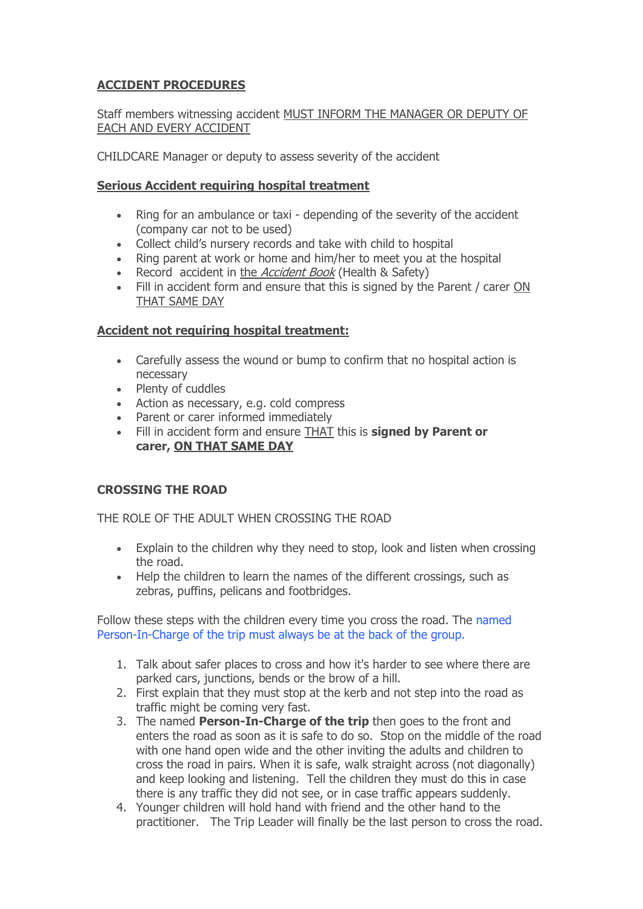## **ACCIDENT PROCEDURES**

## Staff members witnessing accident MUST INFORM THE MANAGER OR DEPUTY OF EACH AND EVERY ACCIDENT

CHILDCARE Manager or deputy to assess severity of the accident

## **Serious Accident requiring hospital treatment**

- Ring for an ambulance or taxi depending of the severity of the accident (company car not to be used)
- Collect child's nursery records and take with child to hospital
- Ring parent at work or home and him/her to meet you at the hospital
- Record accident in the *Accident Book* (Health & Safety)
- Fill in accident form and ensure that this is signed by the Parent / carer ON THAT SAME DAY

#### **Accident not requiring hospital treatment:**

- Carefully assess the wound or bump to confirm that no hospital action is necessary
- Plenty of cuddles
- Action as necessary, e.g. cold compress
- Parent or carer informed immediately
- Fill in accident form and ensure THAT this is **signed by Parent or carer, ON THAT SAME DAY**

## **CROSSING THE ROAD**

THE ROLE OF THE ADULT WHEN CROSSING THE ROAD

- Explain to the children why they need to stop, look and listen when crossing the road.
- Help the children to learn the names of the different crossings, such as zebras, puffins, pelicans and footbridges.

Follow these steps with the children every time you cross the road. The named Person-In-Charge of the trip must always be at the back of the group.

- 1. Talk about safer places to cross and how it's harder to see where there are parked cars, junctions, bends or the brow of a hill.
- 2. First explain that they must stop at the kerb and not step into the road as traffic might be coming very fast.
- 3. The named **Person-In-Charge of the trip** then goes to the front and enters the road as soon as it is safe to do so. Stop on the middle of the road with one hand open wide and the other inviting the adults and children to cross the road in pairs. When it is safe, walk straight across (not diagonally) and keep looking and listening. Tell the children they must do this in case there is any traffic they did not see, or in case traffic appears suddenly.
- 4. Younger children will hold hand with friend and the other hand to the practitioner. The Trip Leader will finally be the last person to cross the road.